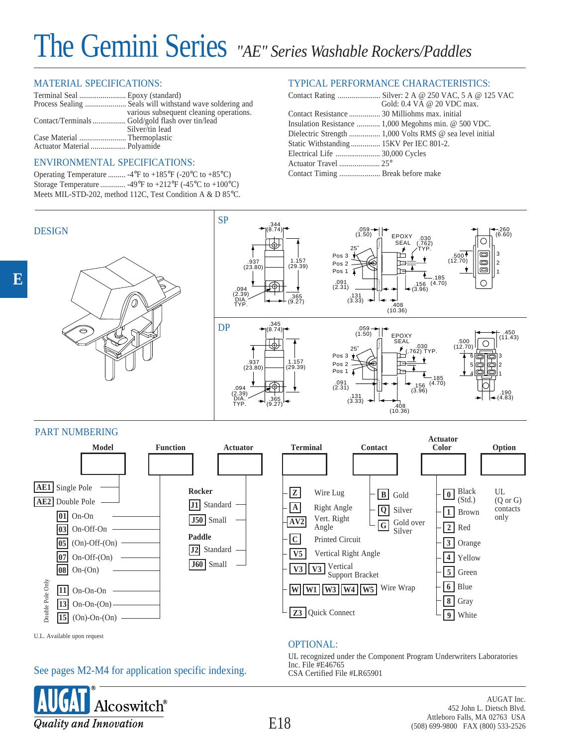# The Gemini Series *"AE" Series Washable Rockers/Paddles*

#### MATERIAL SPECIFICATIONS:

|                                                 | various subsequent cleaning operations. |
|-------------------------------------------------|-----------------------------------------|
| Contact/Terminals Gold/gold flash over tin/lead |                                         |
|                                                 | Silver/tin lead                         |
|                                                 |                                         |
|                                                 |                                         |
|                                                 |                                         |

#### ENVIRONMENTAL SPECIFICATIONS:

| Operating Temperature  -4°F to +185°F (-20°C to +85°C)     |
|------------------------------------------------------------|
| Storage Temperature  -49°F to +212°F (-45°C to +100°C)     |
| Meets MIL-STD-202, method 112C, Test Condition A & D 85°C. |

### TYPICAL PERFORMANCE CHARACTERISTICS:

|                                               | Gold: 0.4 VA @ 20 VDC max.                           |
|-----------------------------------------------|------------------------------------------------------|
| Contact Resistance  30 Milliohms max. initial |                                                      |
|                                               | Insulation Resistance  1,000 Megohms min. @ 500 VDC. |
|                                               |                                                      |
| Static Withstanding 15KV Per IEC 801-2.       |                                                      |
|                                               |                                                      |
|                                               |                                                      |
|                                               |                                                      |



## PART NUMBERING

**E**



OPTIONAL:

#### UL recognized under the Component Program Underwriters Laboratories Inc. File #E46765 CSA Certified File #LR65901 See pages M2-M4 for application specific indexing.



U.L. Available upon request

AUGAT Inc. 452 John L. Dietsch Blvd. Attleboro Falls, MA 02763 USA (508) 699-9800 FAX (800) 533-2526

E18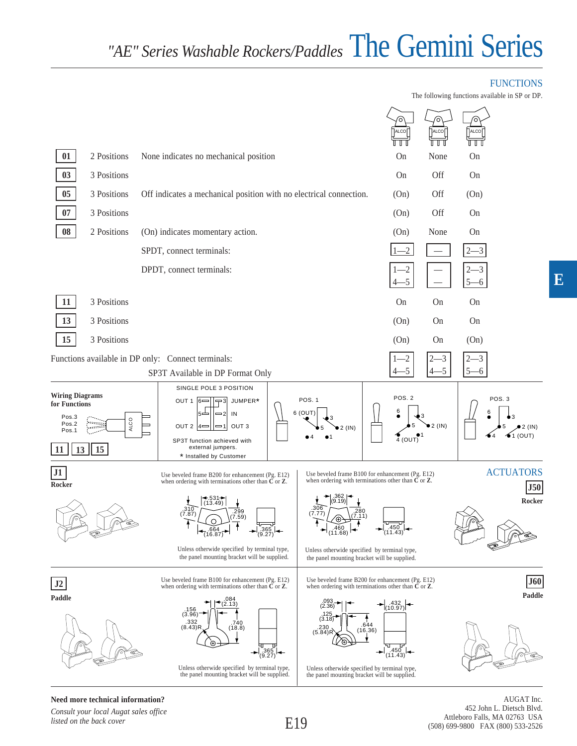## The Gemini Series *"AE" Series Washable Rockers/Paddles*

## FUNCTIONS

The following functions available in SP or DP.

|                                                                                |                      |                                                                                                                                                                                                                                                                                                                               | <b>ALCO</b>                                                                 | ALCO       |            |                                               |
|--------------------------------------------------------------------------------|----------------------|-------------------------------------------------------------------------------------------------------------------------------------------------------------------------------------------------------------------------------------------------------------------------------------------------------------------------------|-----------------------------------------------------------------------------|------------|------------|-----------------------------------------------|
| 01                                                                             | 2 Positions          | None indicates no mechanical position                                                                                                                                                                                                                                                                                         | On                                                                          | None       | On         |                                               |
| 03                                                                             | 3 Positions          |                                                                                                                                                                                                                                                                                                                               | On                                                                          | Off        | On         |                                               |
| $05\,$                                                                         | 3 Positions          | Off indicates a mechanical position with no electrical connection.                                                                                                                                                                                                                                                            | (On)                                                                        | <b>Off</b> | (On)       |                                               |
| $07\,$                                                                         | 3 Positions          |                                                                                                                                                                                                                                                                                                                               | (On)                                                                        | Off        | On         |                                               |
| 08                                                                             | 2 Positions          | (On) indicates momentary action.                                                                                                                                                                                                                                                                                              | (On)                                                                        | None       | On         |                                               |
|                                                                                |                      | SPDT, connect terminals:                                                                                                                                                                                                                                                                                                      | $-2$                                                                        |            |            |                                               |
|                                                                                |                      | DPDT, connect terminals:                                                                                                                                                                                                                                                                                                      | -2<br>5                                                                     |            | -3         |                                               |
| 11                                                                             | 3 Positions          |                                                                                                                                                                                                                                                                                                                               | On                                                                          | On         | On         |                                               |
| 13                                                                             | 3 Positions          |                                                                                                                                                                                                                                                                                                                               | (On)                                                                        | On         | On         |                                               |
| 15                                                                             | 3 Positions          |                                                                                                                                                                                                                                                                                                                               | (On)                                                                        | On         | (On)       |                                               |
|                                                                                |                      | Functions available in DP only: Connect terminals:                                                                                                                                                                                                                                                                            | -2                                                                          |            | 3          |                                               |
|                                                                                |                      | SP3T Available in DP Format Only                                                                                                                                                                                                                                                                                              | $-5$                                                                        |            | $5-$<br>-6 |                                               |
| <b>Wiring Diagrams</b><br>for Functions<br>Pos.3<br>Pos.2<br>Pos.1<br>13<br>11 | ALCO<br>فقفعفو<br>15 | SINGLE POLE 3 POSITION<br><b>POS. 1</b><br>OUT 1 $6-$<br>JUMPER*<br>$-3$<br>6 (OUT)<br>—2  IN<br>$5 -$<br>OUT <sub>3</sub><br>OUT 2 $ 4=$<br>$=$ 11<br>$2$ (IN)<br>SP3T function achieved with<br>external jumpers.<br>* Installed by Customer                                                                                | POS. 2<br>6<br>$\begin{array}{c} \bigcirc \\ 4 \text{ (OUT)} \end{array}$   | $2$ (IN)   | 6          | POS. <sub>3</sub><br>bЗ<br>$\bigcirc$ 1 (OUT) |
| J1<br>Rocker                                                                   |                      | Use beveled frame B100 for enhancement (Pg. E12)<br>Use beveled frame B200 for enhancement (Pg. E12)<br>when ordering with terminations other than $\check{\mathbf{C}}$ or $\mathbf{Z}$ .<br>when ordering with terminations other than $C$ or $Z$ .                                                                          |                                                                             |            |            | <b>ACTUATORS</b><br>$\bm{J50}$                |
|                                                                                |                      | $-531+$<br>(13.49)<br>.310<br>.280<br>.299<br>(7.87)<br>7.59)<br>(7.11)<br>$\leftarrow$ (11.68)<br>, 664.<br>(16.87)<br>365<br>(9.27)<br>Unless otherwide specified by terminal type,<br>Unless otherwide specified by terminal type,                                                                                         | $\begin{array}{c} \begin{array}{c} -450 \\ (11.43) \end{array} \end{array}$ |            |            | Rocker                                        |
|                                                                                |                      | the panel mounting bracket will be supplied.<br>the panel mounting bracket will be supplied.                                                                                                                                                                                                                                  |                                                                             |            |            |                                               |
| J <sub>2</sub>                                                                 |                      | Use beveled frame B100 for enhancement (Pg. E12)<br>Use beveled frame B200 for enhancement (Pg. E12)<br>when ordering with terminations other than $C$ or $Z$ .<br>when ordering with terminations other than $C$ or $Z$ .                                                                                                    |                                                                             |            |            | J60                                           |
| Paddle                                                                         |                      | 084<br>2.13)<br>(3.96)<br>(3.18<br>$.332$<br>(8.43)R<br>.740<br>230<br>(18.8)<br>(5.84)R<br>पा<br>┲<br>$\frac{0.365}{(9.27)}$<br>Unless otherwide specified by terminal type,<br>Unless otherwide specified by terminal type,<br>the panel mounting bracket will be supplied.<br>the panel mounting bracket will be supplied. | 10.97<br>644<br>(16, 36)<br>  450<br>(11.43)                                |            |            | Paddle                                        |

**Need more technical information?**

*Consult your local Augat sales office listed on the back cover*

AUGAT Inc. 452 John L. Dietsch Blvd. Attleboro Falls, MA 02763 USA (508) 699-9800 FAX (800) 533-2526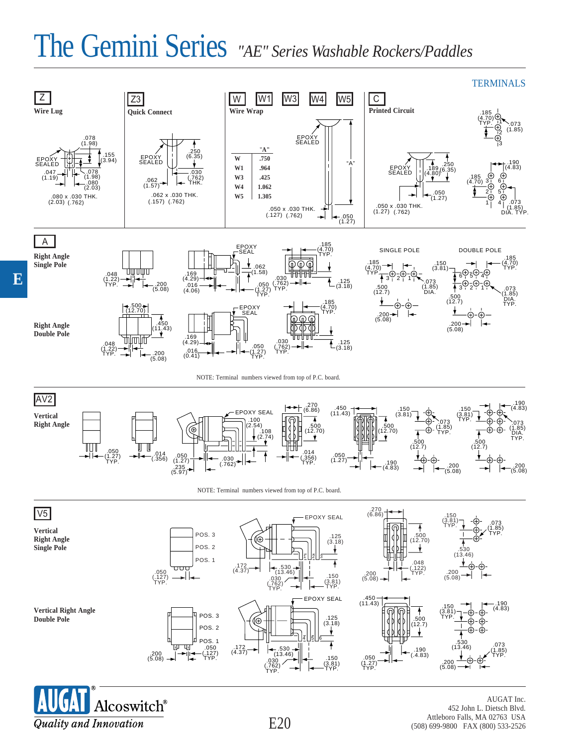# *"AE" Series Washable Rockers/Paddles* The Gemini Series



E20



AUGAT Inc. 452 John L. Dietsch Blvd. Attleboro Falls, MA 02763 USA (508) 699-9800 FAX (800) 533-2526

**E**